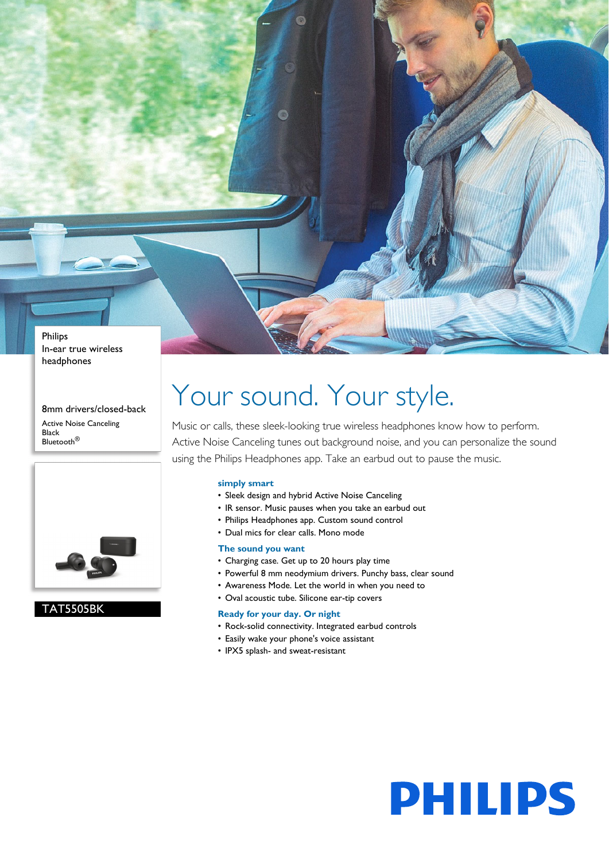Philips In-ear true wireless headphones

8mm drivers/closed-back Active Noise Canceling Black Bluetooth®



### TAT5505BK

# Your sound. Your style.

Music or calls, these sleek-looking true wireless headphones know how to perform. Active Noise Canceling tunes out background noise, and you can personalize the sound using the Philips Headphones app. Take an earbud out to pause the music.

#### **simply smart**

- Sleek design and hybrid Active Noise Canceling
- IR sensor. Music pauses when you take an earbud out
- Philips Headphones app. Custom sound control
- Dual mics for clear calls. Mono mode

#### **The sound you want**

- Charging case. Get up to 20 hours play time
- Powerful 8 mm neodymium drivers. Punchy bass, clear sound
- Awareness Mode. Let the world in when you need to
- Oval acoustic tube. Silicone ear-tip covers

#### **Ready for your day. Or night**

- Rock-solid connectivity. Integrated earbud controls
- Easily wake your phone's voice assistant
- IPX5 splash- and sweat-resistant

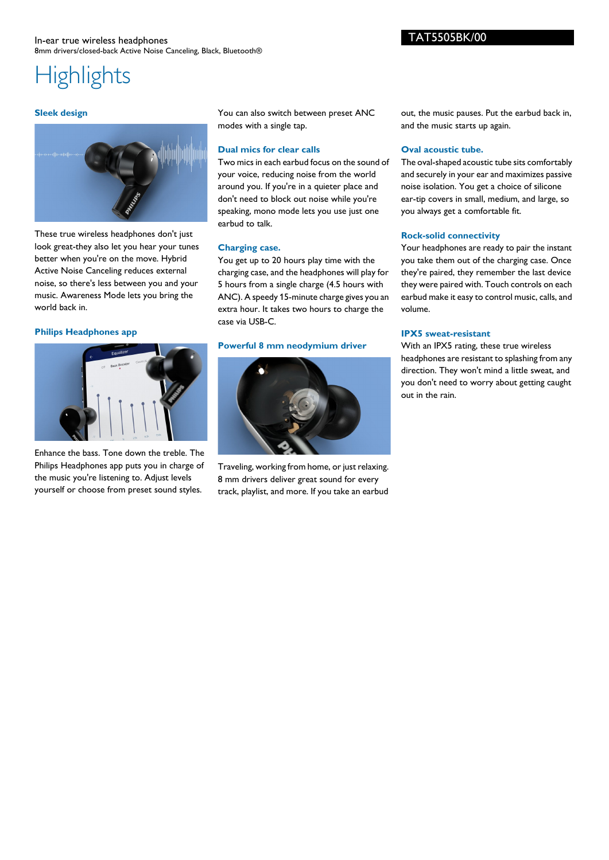#### **Sleek design**



These true wireless headphones don't just look great-they also let you hear your tunes better when you're on the move. Hybrid Active Noise Canceling reduces external noise, so there's less between you and your music. Awareness Mode lets you bring the world back in.

#### **Philips Headphones app**



Enhance the bass. Tone down the treble. The Philips Headphones app puts you in charge of the music you're listening to. Adjust levels yourself or choose from preset sound styles.

You can also switch between preset ANC modes with a single tap.

#### **Dual mics for clear calls**

Two mics in each earbud focus on the sound of your voice, reducing noise from the world around you. If you're in a quieter place and don't need to block out noise while you're speaking, mono mode lets you use just one earbud to talk.

#### **Charging case.**

You get up to 20 hours play time with the charging case, and the headphones will play for 5 hours from a single charge (4.5 hours with ANC). A speedy 15-minute charge gives you an extra hour. It takes two hours to charge the case via USB-C.

#### **Powerful 8 mm neodymium driver**



Traveling, working from home, or just relaxing. 8 mm drivers deliver great sound for every track, playlist, and more. If you take an earbud out, the music pauses. Put the earbud back in, and the music starts up again.

#### **Oval acoustic tube.**

The oval-shaped acoustic tube sits comfortably and securely in your ear and maximizes passive noise isolation. You get a choice of silicone ear-tip covers in small, medium, and large, so you always get a comfortable fit.

#### **Rock-solid connectivity**

Your headphones are ready to pair the instant you take them out of the charging case. Once they're paired, they remember the last device they were paired with. Touch controls on each earbud make it easy to control music, calls, and volume.

#### **IPX5 sweat-resistant**

With an IPX5 rating, these true wireless headphones are resistant to splashing from any direction. They won't mind a little sweat, and you don't need to worry about getting caught out in the rain.